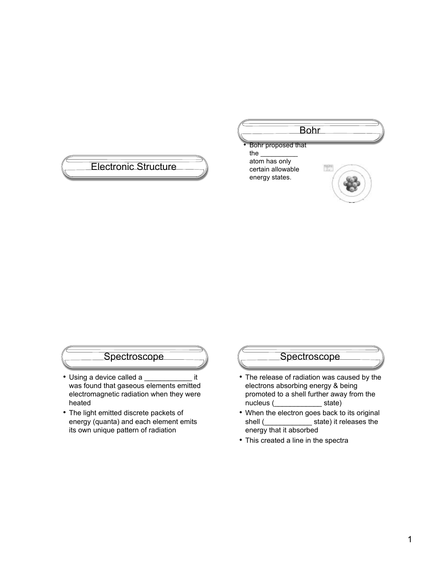#### Electronic Structure Bohr • Bohr proposed that the \_\_\_\_\_\_\_\_\_\_ atom has only certain allowable energy states.

#### **Spectroscope**

- Using a device called a \_\_\_\_\_\_\_\_\_\_\_\_ it was found that gaseous elements emitted electromagnetic radiation when they were heated
- The light emitted discrete packets of energy (quanta) and each element emits its own unique pattern of radiation

#### Spectroscope

- The release of radiation was caused by the electrons absorbing energy & being promoted to a shell further away from the nucleus (\_\_\_\_\_\_\_\_\_\_\_\_ state)
- When the electron goes back to its original shell (\_\_\_\_\_\_\_\_\_\_\_\_ state) it releases the energy that it absorbed
- This created a line in the spectra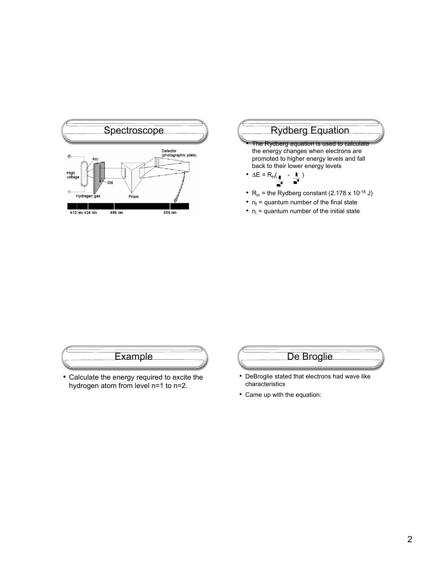

# The Rydberg equation is used to calculate

the energy changes when electrons are promoted to higher energy levels and fall back to their lower energy levels

- ΔE = RH( ) ⋥
- $R_H$  = the Rydberg constant (2.178 x 10<sup>-18</sup> J)
- $n_f$  = quantum number of the final state
- $n_i$  = quantum number of the initial state

# Example

• Calculate the energy required to excite the hydrogen atom from level n=1 to n=2.

#### De Broglie

- DeBroglie stated that electrons had wave like characteristics
- Came up with the equation: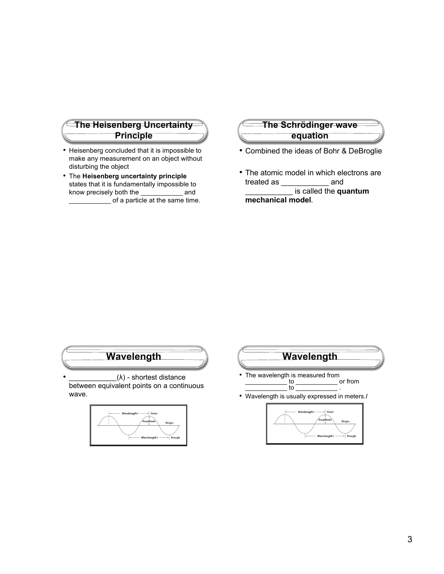#### **The Heisenberg Uncertainty Principle**

- Heisenberg concluded that it is impossible to make any measurement on an object without disturbing the object
- The **Heisenberg uncertainty principle** states that it is fundamentally impossible to know precisely both the \_\_\_\_\_\_\_\_\_\_\_\_ and  $\overline{\phantom{a}}$  of a particle at the same time.

#### **The Schrödinger wave equation**

- Combined the ideas of Bohr & DeBroglie
- The atomic model in which electrons are treated as \_\_\_\_\_\_\_\_\_\_\_\_ and \_\_\_\_\_\_\_\_\_\_\_\_ is called the **quantum mechanical model**.



 $(λ)$  - shortest distance between equivalent points on a continuous wave.



# **Wavelength**

- The wavelength is measured from<br>to the same state of the same of the same of the same of the same of the same of the same of the same of the same of the same of the same of the same of the same of the same of the same of  $\_$  or from
- Wavelength is usually expressed in meters.*I*

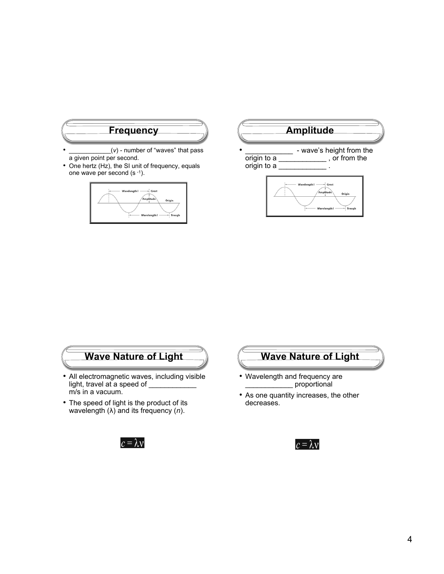

- a given point per second.
- One hertz (Hz), the SI unit of frequency, equals one wave per second (s -1).





### **Wave Nature of Light**

- All electromagnetic waves, including visible light, travel at a speed of m/s in a vacuum.
- The speed of light is the product of its wavelength (λ) and its frequency (*n*).





- Wavelength and frequency are proportional
- As one quantity increases, the other decreases.

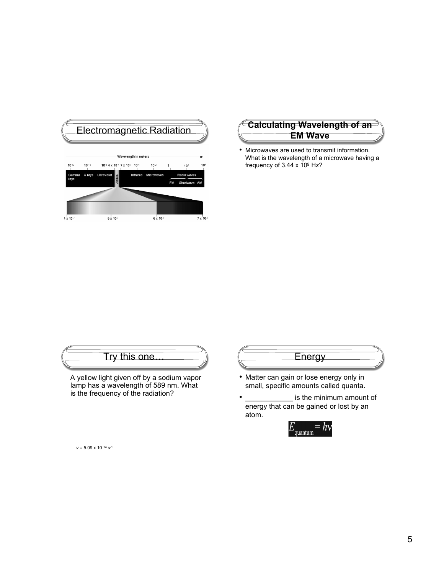

# **EM Wave**

• Microwaves are used to transmit information. What is the wavelength of a microwave having a frequency of 3.44 x 109 Hz?

### Try this one…

 A yellow light given off by a sodium vapor lamp has a wavelength of 589 nm. What is the frequency of the radiation?



- Matter can gain or lose energy only in small, specific amounts called quanta.
- is the minimum amount of energy that can be gained or lost by an atom.



*ν* = 5.09 x 10 14 s-1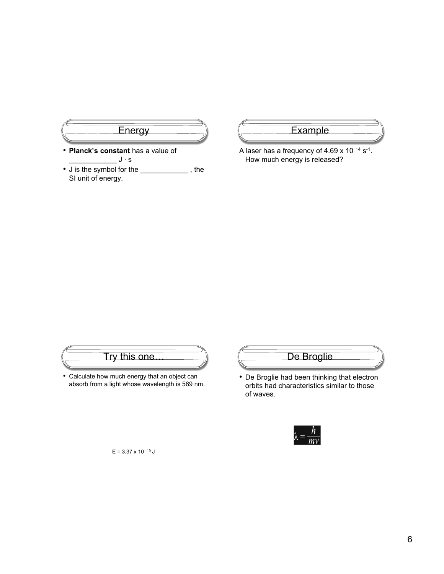

- **Planck's constant** has a value of  $\_J \cdot s$
- J is the symbol for the \_\_\_\_\_\_\_\_\_\_\_\_, the SI unit of energy.



A laser has a frequency of 4.69 x 10 14 s-1. How much energy is released?

## Try this one…

• Calculate how much energy that an object can absorb from a light whose wavelength is 589 nm.



• De Broglie had been thinking that electron orbits had characteristics similar to those of waves.



 $E = 3.37 \times 10^{-19}$  J